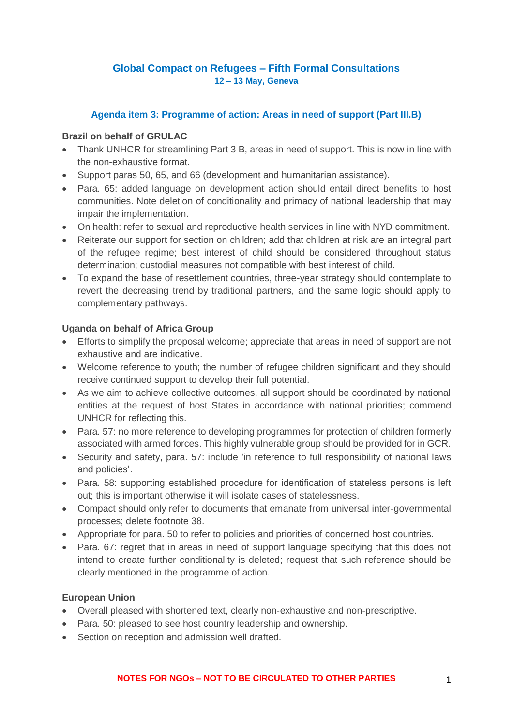# **Global Compact on Refugees – Fifth Formal Consultations 12 – 13 May, Geneva**

### **Agenda item 3: Programme of action: Areas in need of support (Part III.B)**

#### **Brazil on behalf of GRULAC**

- Thank UNHCR for streamlining Part 3 B, areas in need of support. This is now in line with the non-exhaustive format.
- Support paras 50, 65, and 66 (development and humanitarian assistance).
- Para. 65: added language on development action should entail direct benefits to host communities. Note deletion of conditionality and primacy of national leadership that may impair the implementation.
- On health: refer to sexual and reproductive health services in line with NYD commitment.
- Reiterate our support for section on children; add that children at risk are an integral part of the refugee regime; best interest of child should be considered throughout status determination; custodial measures not compatible with best interest of child.
- To expand the base of resettlement countries, three-year strategy should contemplate to revert the decreasing trend by traditional partners, and the same logic should apply to complementary pathways.

### **Uganda on behalf of Africa Group**

- Efforts to simplify the proposal welcome; appreciate that areas in need of support are not exhaustive and are indicative.
- Welcome reference to youth; the number of refugee children significant and they should receive continued support to develop their full potential.
- As we aim to achieve collective outcomes, all support should be coordinated by national entities at the request of host States in accordance with national priorities; commend UNHCR for reflecting this.
- Para. 57: no more reference to developing programmes for protection of children formerly associated with armed forces. This highly vulnerable group should be provided for in GCR.
- Security and safety, para. 57: include 'in reference to full responsibility of national laws and policies'.
- Para. 58: supporting established procedure for identification of stateless persons is left out; this is important otherwise it will isolate cases of statelessness.
- Compact should only refer to documents that emanate from universal inter-governmental processes; delete footnote 38.
- Appropriate for para. 50 to refer to policies and priorities of concerned host countries.
- Para. 67: regret that in areas in need of support language specifying that this does not intend to create further conditionality is deleted; request that such reference should be clearly mentioned in the programme of action.

#### **European Union**

- Overall pleased with shortened text, clearly non-exhaustive and non-prescriptive.
- Para. 50: pleased to see host country leadership and ownership.
- Section on reception and admission well drafted.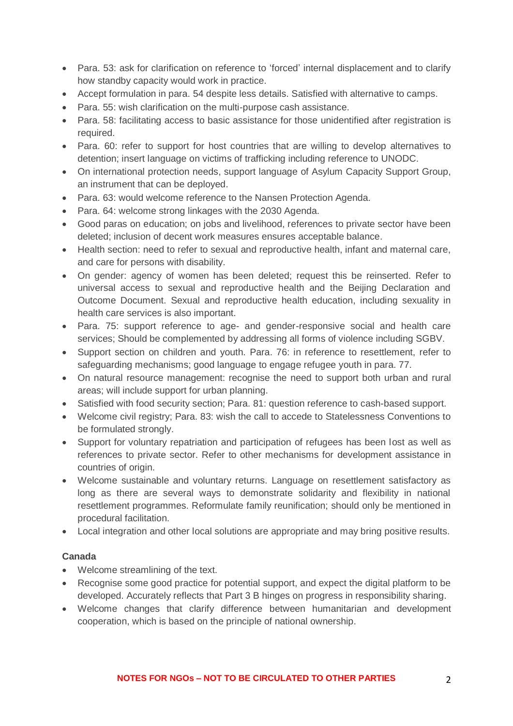- Para. 53: ask for clarification on reference to 'forced' internal displacement and to clarify how standby capacity would work in practice.
- Accept formulation in para. 54 despite less details. Satisfied with alternative to camps.
- Para. 55: wish clarification on the multi-purpose cash assistance.
- Para, 58: facilitating access to basic assistance for those unidentified after registration is required.
- Para. 60: refer to support for host countries that are willing to develop alternatives to detention; insert language on victims of trafficking including reference to UNODC.
- On international protection needs, support language of Asylum Capacity Support Group, an instrument that can be deployed.
- Para. 63: would welcome reference to the Nansen Protection Agenda.
- Para. 64: welcome strong linkages with the 2030 Agenda.
- Good paras on education; on jobs and livelihood, references to private sector have been deleted; inclusion of decent work measures ensures acceptable balance.
- Health section: need to refer to sexual and reproductive health, infant and maternal care, and care for persons with disability.
- On gender: agency of women has been deleted; request this be reinserted. Refer to universal access to sexual and reproductive health and the Beijing Declaration and Outcome Document. Sexual and reproductive health education, including sexuality in health care services is also important.
- Para. 75: support reference to age- and gender-responsive social and health care services; Should be complemented by addressing all forms of violence including SGBV.
- Support section on children and youth. Para. 76: in reference to resettlement, refer to safeguarding mechanisms; good language to engage refugee youth in para. 77.
- On natural resource management: recognise the need to support both urban and rural areas; will include support for urban planning.
- Satisfied with food security section; Para. 81: question reference to cash-based support.
- Welcome civil registry: Para, 83: wish the call to accede to Statelessness Conventions to be formulated strongly.
- Support for voluntary repatriation and participation of refugees has been lost as well as references to private sector. Refer to other mechanisms for development assistance in countries of origin.
- Welcome sustainable and voluntary returns. Language on resettlement satisfactory as long as there are several ways to demonstrate solidarity and flexibility in national resettlement programmes. Reformulate family reunification; should only be mentioned in procedural facilitation.
- Local integration and other local solutions are appropriate and may bring positive results.

#### **Canada**

- Welcome streamlining of the text.
- Recognise some good practice for potential support, and expect the digital platform to be developed. Accurately reflects that Part 3 B hinges on progress in responsibility sharing.
- Welcome changes that clarify difference between humanitarian and development cooperation, which is based on the principle of national ownership.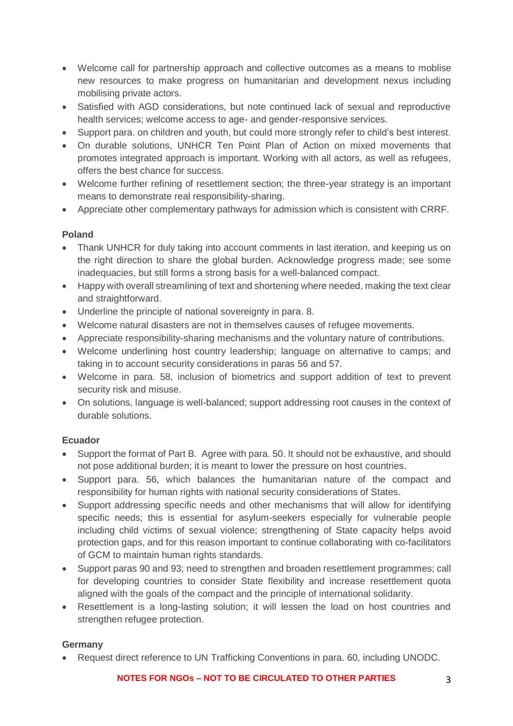- Welcome call for partnership approach and collective outcomes as a means to moblise new resources to make progress on humanitarian and development nexus including mobilising private actors.
- Satisfied with AGD considerations, but note continued lack of sexual and reproductive health services; welcome access to age- and gender-responsive services.
- Support para. on children and youth, but could more strongly refer to child's best interest.
- On durable solutions, UNHCR Ten Point Plan of Action on mixed movements that promotes integrated approach is important. Working with all actors, as well as refugees, offers the best chance for success.
- Welcome further refining of resettlement section; the three-year strategy is an important means to demonstrate real responsibility-sharing.
- Appreciate other complementary pathways for admission which is consistent with CRRF.

# **Poland**

- Thank UNHCR for duly taking into account comments in last iteration, and keeping us on the right direction to share the global burden. Acknowledge progress made; see some inadequacies, but still forms a strong basis for a well-balanced compact.
- Happy with overall streamlining of text and shortening where needed, making the text clear and straightforward.
- Underline the principle of national sovereignty in para. 8.
- Welcome natural disasters are not in themselves causes of refugee movements.
- Appreciate responsibility-sharing mechanisms and the voluntary nature of contributions.
- Welcome underlining host country leadership; language on alternative to camps; and taking in to account security considerations in paras 56 and 57.
- Welcome in para. 58, inclusion of biometrics and support addition of text to prevent security risk and misuse.
- On solutions, language is well-balanced; support addressing root causes in the context of durable solutions.

#### **Ecuador**

- Support the format of Part B. Agree with para. 50. It should not be exhaustive, and should not pose additional burden; it is meant to lower the pressure on host countries.
- Support para. 56, which balances the humanitarian nature of the compact and responsibility for human rights with national security considerations of States.
- Support addressing specific needs and other mechanisms that will allow for identifying specific needs; this is essential for asylum-seekers especially for vulnerable people including child victims of sexual violence; strengthening of State capacity helps avoid protection gaps, and for this reason important to continue collaborating with co-facilitators of GCM to maintain human rights standards.
- Support paras 90 and 93; need to strengthen and broaden resettlement programmes; call for developing countries to consider State flexibility and increase resettlement quota aligned with the goals of the compact and the principle of international solidarity.
- Resettlement is a long-lasting solution; it will lessen the load on host countries and strengthen refugee protection.

# **Germany**

• Request direct reference to UN Trafficking Conventions in para. 60, including UNODC.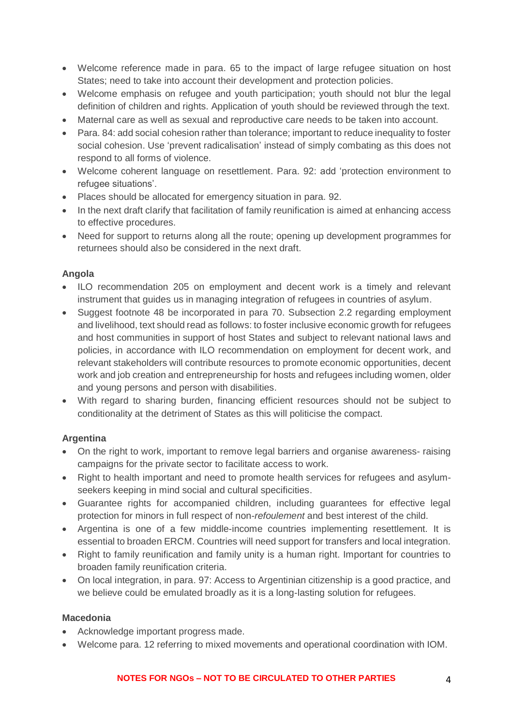- Welcome reference made in para. 65 to the impact of large refugee situation on host States; need to take into account their development and protection policies.
- Welcome emphasis on refugee and youth participation: youth should not blur the legal definition of children and rights. Application of youth should be reviewed through the text.
- Maternal care as well as sexual and reproductive care needs to be taken into account.
- Para. 84: add social cohesion rather than tolerance; important to reduce inequality to foster social cohesion. Use 'prevent radicalisation' instead of simply combating as this does not respond to all forms of violence.
- Welcome coherent language on resettlement. Para. 92: add 'protection environment to refugee situations'.
- Places should be allocated for emergency situation in para. 92.
- In the next draft clarify that facilitation of family reunification is aimed at enhancing access to effective procedures.
- Need for support to returns along all the route; opening up development programmes for returnees should also be considered in the next draft.

### **Angola**

- ILO recommendation 205 on employment and decent work is a timely and relevant instrument that guides us in managing integration of refugees in countries of asylum.
- Suggest footnote 48 be incorporated in para 70. Subsection 2.2 regarding employment and livelihood, text should read as follows: to foster inclusive economic growth for refugees and host communities in support of host States and subject to relevant national laws and policies, in accordance with ILO recommendation on employment for decent work, and relevant stakeholders will contribute resources to promote economic opportunities, decent work and job creation and entrepreneurship for hosts and refugees including women, older and young persons and person with disabilities.
- With regard to sharing burden, financing efficient resources should not be subject to conditionality at the detriment of States as this will politicise the compact.

# **Argentina**

- On the right to work, important to remove legal barriers and organise awareness- raising campaigns for the private sector to facilitate access to work.
- Right to health important and need to promote health services for refugees and asylumseekers keeping in mind social and cultural specificities.
- Guarantee rights for accompanied children, including guarantees for effective legal protection for minors in full respect of non-*refoulement* and best interest of the child.
- Argentina is one of a few middle-income countries implementing resettlement. It is essential to broaden ERCM. Countries will need support for transfers and local integration.
- Right to family reunification and family unity is a human right. Important for countries to broaden family reunification criteria.
- On local integration, in para. 97: Access to Argentinian citizenship is a good practice, and we believe could be emulated broadly as it is a long-lasting solution for refugees.

#### **Macedonia**

- Acknowledge important progress made.
- Welcome para. 12 referring to mixed movements and operational coordination with IOM.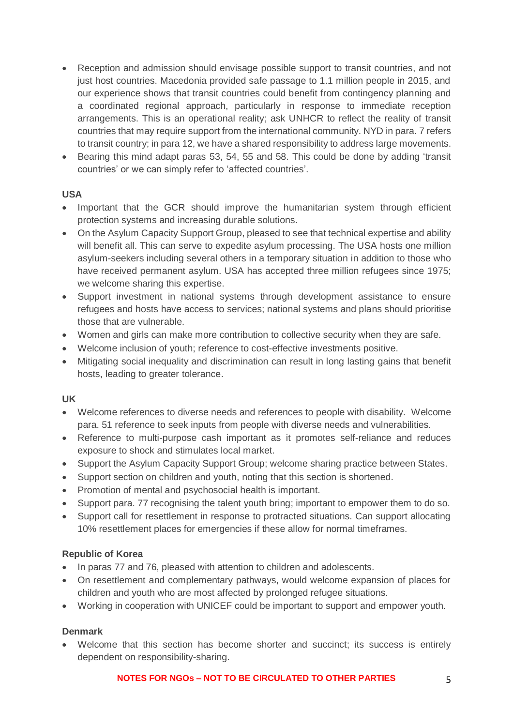- Reception and admission should envisage possible support to transit countries, and not just host countries. Macedonia provided safe passage to 1.1 million people in 2015, and our experience shows that transit countries could benefit from contingency planning and a coordinated regional approach, particularly in response to immediate reception arrangements. This is an operational reality; ask UNHCR to reflect the reality of transit countries that may require support from the international community. NYD in para. 7 refers to transit country; in para 12, we have a shared responsibility to address large movements.
- Bearing this mind adapt paras 53, 54, 55 and 58. This could be done by adding 'transit countries' or we can simply refer to 'affected countries'.

### **USA**

- Important that the GCR should improve the humanitarian system through efficient protection systems and increasing durable solutions.
- On the Asylum Capacity Support Group, pleased to see that technical expertise and ability will benefit all. This can serve to expedite asylum processing. The USA hosts one million asylum-seekers including several others in a temporary situation in addition to those who have received permanent asylum. USA has accepted three million refugees since 1975; we welcome sharing this expertise.
- Support investment in national systems through development assistance to ensure refugees and hosts have access to services; national systems and plans should prioritise those that are vulnerable.
- Women and girls can make more contribution to collective security when they are safe.
- Welcome inclusion of youth; reference to cost-effective investments positive.
- Mitigating social inequality and discrimination can result in long lasting gains that benefit hosts, leading to greater tolerance.

#### **UK**

- Welcome references to diverse needs and references to people with disability. Welcome para. 51 reference to seek inputs from people with diverse needs and vulnerabilities.
- Reference to multi-purpose cash important as it promotes self-reliance and reduces exposure to shock and stimulates local market.
- Support the Asylum Capacity Support Group; welcome sharing practice between States.
- Support section on children and youth, noting that this section is shortened.
- Promotion of mental and psychosocial health is important.
- Support para. 77 recognising the talent youth bring; important to empower them to do so.
- Support call for resettlement in response to protracted situations. Can support allocating 10% resettlement places for emergencies if these allow for normal timeframes.

# **Republic of Korea**

- In paras 77 and 76, pleased with attention to children and adolescents.
- On resettlement and complementary pathways, would welcome expansion of places for children and youth who are most affected by prolonged refugee situations.
- Working in cooperation with UNICEF could be important to support and empower youth.

#### **Denmark**

• Welcome that this section has become shorter and succinct; its success is entirely dependent on responsibility-sharing.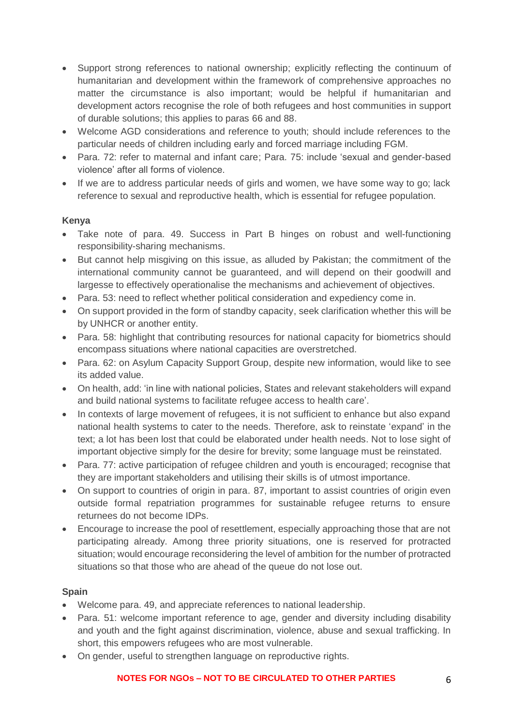- Support strong references to national ownership; explicitly reflecting the continuum of humanitarian and development within the framework of comprehensive approaches no matter the circumstance is also important; would be helpful if humanitarian and development actors recognise the role of both refugees and host communities in support of durable solutions; this applies to paras 66 and 88.
- Welcome AGD considerations and reference to youth; should include references to the particular needs of children including early and forced marriage including FGM.
- Para. 72: refer to maternal and infant care; Para. 75: include 'sexual and gender-based violence' after all forms of violence.
- If we are to address particular needs of girls and women, we have some way to go; lack reference to sexual and reproductive health, which is essential for refugee population.

# **Kenya**

- Take note of para. 49. Success in Part B hinges on robust and well-functioning responsibility-sharing mechanisms.
- But cannot help misgiving on this issue, as alluded by Pakistan; the commitment of the international community cannot be guaranteed, and will depend on their goodwill and largesse to effectively operationalise the mechanisms and achievement of objectives.
- Para. 53: need to reflect whether political consideration and expediency come in.
- On support provided in the form of standby capacity, seek clarification whether this will be by UNHCR or another entity.
- Para, 58: highlight that contributing resources for national capacity for biometrics should encompass situations where national capacities are overstretched.
- Para. 62: on Asylum Capacity Support Group, despite new information, would like to see its added value.
- On health, add: 'in line with national policies, States and relevant stakeholders will expand and build national systems to facilitate refugee access to health care'.
- In contexts of large movement of refugees, it is not sufficient to enhance but also expand national health systems to cater to the needs. Therefore, ask to reinstate 'expand' in the text; a lot has been lost that could be elaborated under health needs. Not to lose sight of important objective simply for the desire for brevity; some language must be reinstated.
- Para. 77: active participation of refugee children and youth is encouraged; recognise that they are important stakeholders and utilising their skills is of utmost importance.
- On support to countries of origin in para. 87, important to assist countries of origin even outside formal repatriation programmes for sustainable refugee returns to ensure returnees do not become IDPs.
- Encourage to increase the pool of resettlement, especially approaching those that are not participating already. Among three priority situations, one is reserved for protracted situation; would encourage reconsidering the level of ambition for the number of protracted situations so that those who are ahead of the queue do not lose out.

# **Spain**

- Welcome para. 49, and appreciate references to national leadership.
- Para, 51: welcome important reference to age, gender and diversity including disability and youth and the fight against discrimination, violence, abuse and sexual trafficking. In short, this empowers refugees who are most vulnerable.
- On gender, useful to strengthen language on reproductive rights.

# **NOTES FOR NGOs – NOT TO BE CIRCULATED TO OTHER PARTIES** 6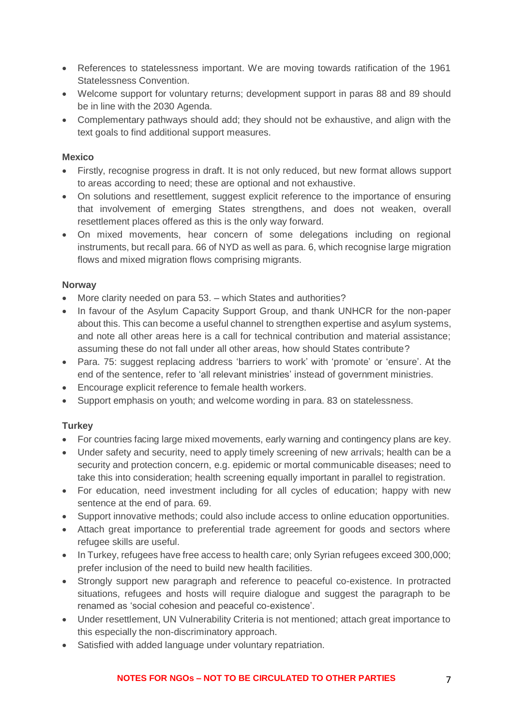- References to statelessness important. We are moving towards ratification of the 1961 Statelessness Convention.
- Welcome support for voluntary returns; development support in paras 88 and 89 should be in line with the 2030 Agenda.
- Complementary pathways should add; they should not be exhaustive, and align with the text goals to find additional support measures.

### **Mexico**

- Firstly, recognise progress in draft. It is not only reduced, but new format allows support to areas according to need; these are optional and not exhaustive.
- On solutions and resettlement, suggest explicit reference to the importance of ensuring that involvement of emerging States strengthens, and does not weaken, overall resettlement places offered as this is the only way forward.
- On mixed movements, hear concern of some delegations including on regional instruments, but recall para. 66 of NYD as well as para. 6, which recognise large migration flows and mixed migration flows comprising migrants.

### **Norway**

- More clarity needed on para 53. which States and authorities?
- In favour of the Asylum Capacity Support Group, and thank UNHCR for the non-paper about this. This can become a useful channel to strengthen expertise and asylum systems, and note all other areas here is a call for technical contribution and material assistance; assuming these do not fall under all other areas, how should States contribute?
- Para. 75: suggest replacing address 'barriers to work' with 'promote' or 'ensure'. At the end of the sentence, refer to 'all relevant ministries' instead of government ministries.
- Encourage explicit reference to female health workers.
- Support emphasis on youth; and welcome wording in para. 83 on statelessness.

# **Turkey**

- For countries facing large mixed movements, early warning and contingency plans are key.
- Under safety and security, need to apply timely screening of new arrivals; health can be a security and protection concern, e.g. epidemic or mortal communicable diseases; need to take this into consideration; health screening equally important in parallel to registration.
- For education, need investment including for all cycles of education; happy with new sentence at the end of para. 69.
- Support innovative methods; could also include access to online education opportunities.
- Attach great importance to preferential trade agreement for goods and sectors where refugee skills are useful.
- In Turkey, refugees have free access to health care; only Syrian refugees exceed 300,000; prefer inclusion of the need to build new health facilities.
- Strongly support new paragraph and reference to peaceful co-existence. In protracted situations, refugees and hosts will require dialogue and suggest the paragraph to be renamed as 'social cohesion and peaceful co-existence'.
- Under resettlement, UN Vulnerability Criteria is not mentioned; attach great importance to this especially the non-discriminatory approach.
- Satisfied with added language under voluntary repatriation.

#### **NOTES FOR NGOs – NOT TO BE CIRCULATED TO OTHER PARTIES** 7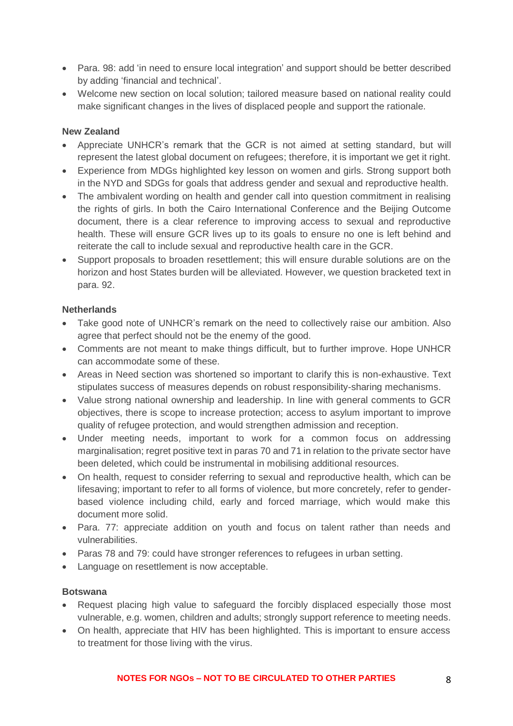- Para. 98: add 'in need to ensure local integration' and support should be better described by adding 'financial and technical'.
- Welcome new section on local solution; tailored measure based on national reality could make significant changes in the lives of displaced people and support the rationale.

# **New Zealand**

- Appreciate UNHCR's remark that the GCR is not aimed at setting standard, but will represent the latest global document on refugees; therefore, it is important we get it right.
- Experience from MDGs highlighted key lesson on women and girls. Strong support both in the NYD and SDGs for goals that address gender and sexual and reproductive health.
- The ambivalent wording on health and gender call into question commitment in realising the rights of girls. In both the Cairo International Conference and the Beijing Outcome document, there is a clear reference to improving access to sexual and reproductive health. These will ensure GCR lives up to its goals to ensure no one is left behind and reiterate the call to include sexual and reproductive health care in the GCR.
- Support proposals to broaden resettlement; this will ensure durable solutions are on the horizon and host States burden will be alleviated. However, we question bracketed text in para. 92.

### **Netherlands**

- Take good note of UNHCR's remark on the need to collectively raise our ambition. Also agree that perfect should not be the enemy of the good.
- Comments are not meant to make things difficult, but to further improve. Hope UNHCR can accommodate some of these.
- Areas in Need section was shortened so important to clarify this is non-exhaustive. Text stipulates success of measures depends on robust responsibility-sharing mechanisms.
- Value strong national ownership and leadership. In line with general comments to GCR objectives, there is scope to increase protection; access to asylum important to improve quality of refugee protection, and would strengthen admission and reception.
- Under meeting needs, important to work for a common focus on addressing marginalisation; regret positive text in paras 70 and 71 in relation to the private sector have been deleted, which could be instrumental in mobilising additional resources.
- On health, request to consider referring to sexual and reproductive health, which can be lifesaving; important to refer to all forms of violence, but more concretely, refer to genderbased violence including child, early and forced marriage, which would make this document more solid.
- Para. 77: appreciate addition on youth and focus on talent rather than needs and vulnerabilities.
- Paras 78 and 79: could have stronger references to refugees in urban setting.
- Language on resettlement is now acceptable.

#### **Botswana**

- Request placing high value to safeguard the forcibly displaced especially those most vulnerable, e.g. women, children and adults; strongly support reference to meeting needs.
- On health, appreciate that HIV has been highlighted. This is important to ensure access to treatment for those living with the virus.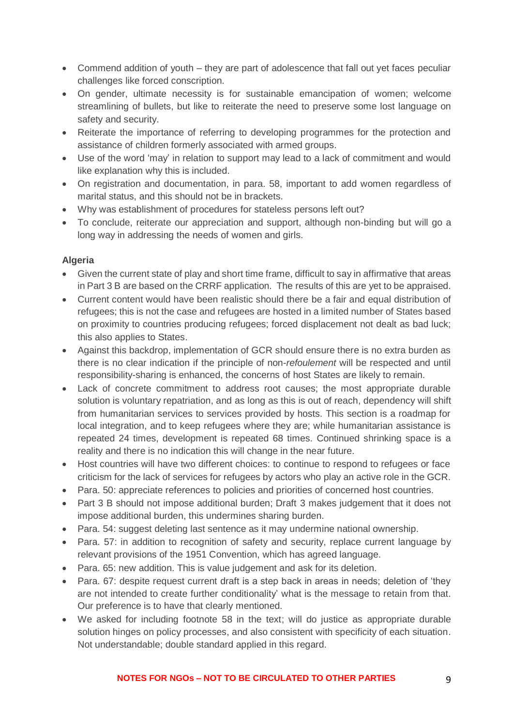- Commend addition of youth they are part of adolescence that fall out yet faces peculiar challenges like forced conscription.
- On gender, ultimate necessity is for sustainable emancipation of women; welcome streamlining of bullets, but like to reiterate the need to preserve some lost language on safety and security.
- Reiterate the importance of referring to developing programmes for the protection and assistance of children formerly associated with armed groups.
- Use of the word 'may' in relation to support may lead to a lack of commitment and would like explanation why this is included.
- On registration and documentation, in para. 58, important to add women regardless of marital status, and this should not be in brackets.
- Why was establishment of procedures for stateless persons left out?
- To conclude, reiterate our appreciation and support, although non-binding but will go a long way in addressing the needs of women and girls.

### **Algeria**

- Given the current state of play and short time frame, difficult to say in affirmative that areas in Part 3 B are based on the CRRF application. The results of this are yet to be appraised.
- Current content would have been realistic should there be a fair and equal distribution of refugees; this is not the case and refugees are hosted in a limited number of States based on proximity to countries producing refugees; forced displacement not dealt as bad luck; this also applies to States.
- Against this backdrop, implementation of GCR should ensure there is no extra burden as there is no clear indication if the principle of non-*refoulement* will be respected and until responsibility-sharing is enhanced, the concerns of host States are likely to remain.
- Lack of concrete commitment to address root causes; the most appropriate durable solution is voluntary repatriation, and as long as this is out of reach, dependency will shift from humanitarian services to services provided by hosts. This section is a roadmap for local integration, and to keep refugees where they are; while humanitarian assistance is repeated 24 times, development is repeated 68 times. Continued shrinking space is a reality and there is no indication this will change in the near future.
- Host countries will have two different choices: to continue to respond to refugees or face criticism for the lack of services for refugees by actors who play an active role in the GCR.
- Para. 50: appreciate references to policies and priorities of concerned host countries.
- Part 3 B should not impose additional burden; Draft 3 makes judgement that it does not impose additional burden, this undermines sharing burden.
- Para. 54: suggest deleting last sentence as it may undermine national ownership.
- Para. 57: in addition to recognition of safety and security, replace current language by relevant provisions of the 1951 Convention, which has agreed language.
- Para. 65: new addition. This is value judgement and ask for its deletion.
- Para, 67: despite request current draft is a step back in areas in needs; deletion of 'they are not intended to create further conditionality' what is the message to retain from that. Our preference is to have that clearly mentioned.
- We asked for including footnote 58 in the text; will do justice as appropriate durable solution hinges on policy processes, and also consistent with specificity of each situation. Not understandable; double standard applied in this regard.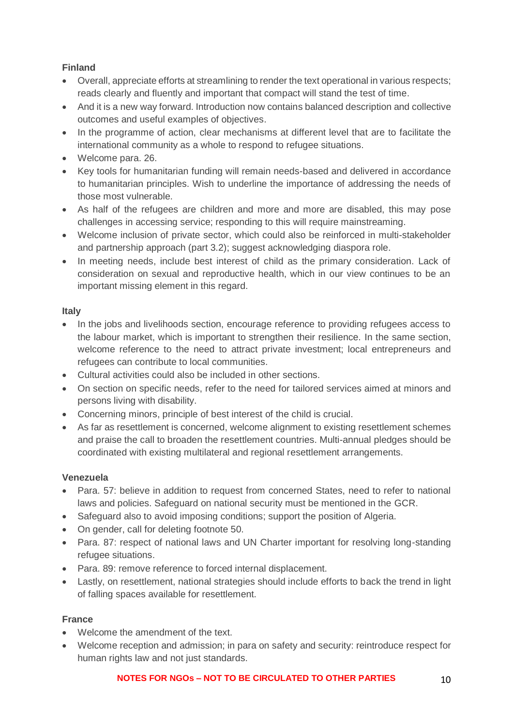# **Finland**

- Overall, appreciate efforts at streamlining to render the text operational in various respects; reads clearly and fluently and important that compact will stand the test of time.
- And it is a new way forward. Introduction now contains balanced description and collective outcomes and useful examples of objectives.
- In the programme of action, clear mechanisms at different level that are to facilitate the international community as a whole to respond to refugee situations.
- Welcome para. 26.
- Key tools for humanitarian funding will remain needs-based and delivered in accordance to humanitarian principles. Wish to underline the importance of addressing the needs of those most vulnerable.
- As half of the refugees are children and more and more are disabled, this may pose challenges in accessing service; responding to this will require mainstreaming.
- Welcome inclusion of private sector, which could also be reinforced in multi-stakeholder and partnership approach (part 3.2); suggest acknowledging diaspora role.
- In meeting needs, include best interest of child as the primary consideration. Lack of consideration on sexual and reproductive health, which in our view continues to be an important missing element in this regard.

# **Italy**

- In the jobs and livelihoods section, encourage reference to providing refugees access to the labour market, which is important to strengthen their resilience. In the same section, welcome reference to the need to attract private investment; local entrepreneurs and refugees can contribute to local communities.
- Cultural activities could also be included in other sections.
- On section on specific needs, refer to the need for tailored services aimed at minors and persons living with disability.
- Concerning minors, principle of best interest of the child is crucial.
- As far as resettlement is concerned, welcome alignment to existing resettlement schemes and praise the call to broaden the resettlement countries. Multi-annual pledges should be coordinated with existing multilateral and regional resettlement arrangements.

# **Venezuela**

- Para. 57: believe in addition to request from concerned States, need to refer to national laws and policies. Safeguard on national security must be mentioned in the GCR.
- Safeguard also to avoid imposing conditions; support the position of Algeria.
- On gender, call for deleting footnote 50.
- Para. 87: respect of national laws and UN Charter important for resolving long-standing refugee situations.
- Para. 89: remove reference to forced internal displacement.
- Lastly, on resettlement, national strategies should include efforts to back the trend in light of falling spaces available for resettlement.

# **France**

- Welcome the amendment of the text.
- Welcome reception and admission; in para on safety and security: reintroduce respect for human rights law and not just standards.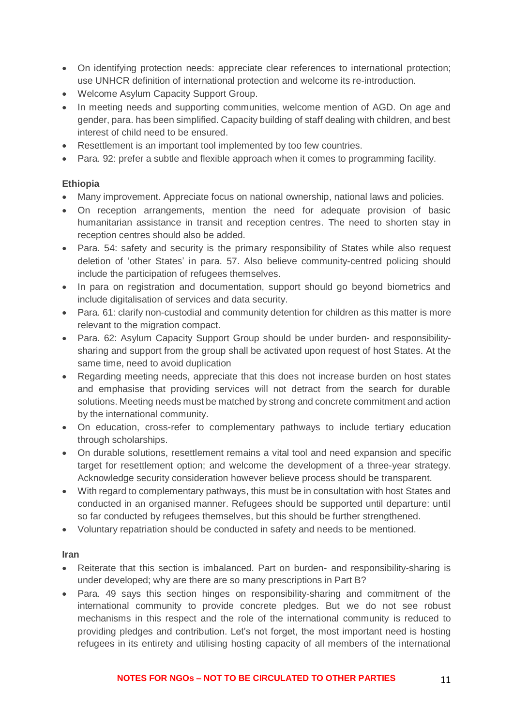- On identifying protection needs: appreciate clear references to international protection; use UNHCR definition of international protection and welcome its re-introduction.
- Welcome Asylum Capacity Support Group.
- In meeting needs and supporting communities, welcome mention of AGD. On age and gender, para. has been simplified. Capacity building of staff dealing with children, and best interest of child need to be ensured.
- Resettlement is an important tool implemented by too few countries.
- Para, 92: prefer a subtle and flexible approach when it comes to programming facility.

#### **Ethiopia**

- Many improvement. Appreciate focus on national ownership, national laws and policies.
- On reception arrangements, mention the need for adequate provision of basic humanitarian assistance in transit and reception centres. The need to shorten stay in reception centres should also be added.
- Para. 54: safety and security is the primary responsibility of States while also request deletion of 'other States' in para. 57. Also believe community-centred policing should include the participation of refugees themselves.
- In para on registration and documentation, support should go beyond biometrics and include digitalisation of services and data security.
- Para, 61: clarify non-custodial and community detention for children as this matter is more relevant to the migration compact.
- Para, 62: Asylum Capacity Support Group should be under burden- and responsibilitysharing and support from the group shall be activated upon request of host States. At the same time, need to avoid duplication
- Regarding meeting needs, appreciate that this does not increase burden on host states and emphasise that providing services will not detract from the search for durable solutions. Meeting needs must be matched by strong and concrete commitment and action by the international community.
- On education, cross-refer to complementary pathways to include tertiary education through scholarships.
- On durable solutions, resettlement remains a vital tool and need expansion and specific target for resettlement option; and welcome the development of a three-year strategy. Acknowledge security consideration however believe process should be transparent.
- With regard to complementary pathways, this must be in consultation with host States and conducted in an organised manner. Refugees should be supported until departure: until so far conducted by refugees themselves, but this should be further strengthened.
- Voluntary repatriation should be conducted in safety and needs to be mentioned.

#### **Iran**

- Reiterate that this section is imbalanced. Part on burden- and responsibility-sharing is under developed; why are there are so many prescriptions in Part B?
- Para. 49 says this section hinges on responsibility-sharing and commitment of the international community to provide concrete pledges. But we do not see robust mechanisms in this respect and the role of the international community is reduced to providing pledges and contribution. Let's not forget, the most important need is hosting refugees in its entirety and utilising hosting capacity of all members of the international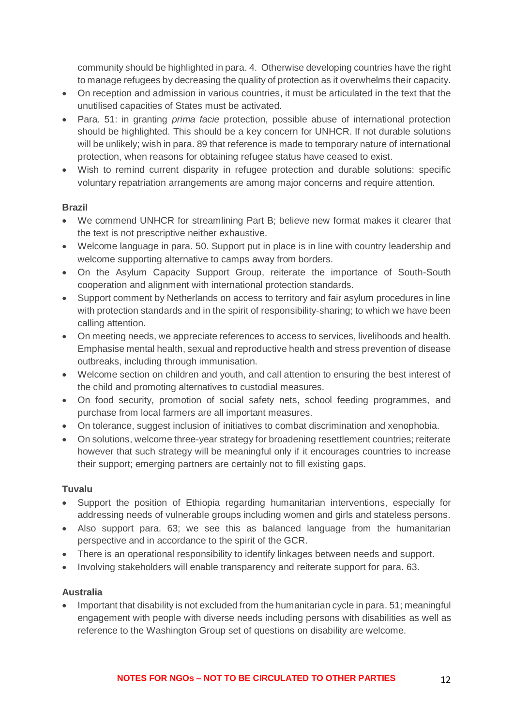community should be highlighted in para. 4. Otherwise developing countries have the right to manage refugees by decreasing the quality of protection as it overwhelms their capacity.

- On reception and admission in various countries, it must be articulated in the text that the unutilised capacities of States must be activated.
- Para. 51: in granting *prima facie* protection, possible abuse of international protection should be highlighted. This should be a key concern for UNHCR. If not durable solutions will be unlikely; wish in para. 89 that reference is made to temporary nature of international protection, when reasons for obtaining refugee status have ceased to exist.
- Wish to remind current disparity in refugee protection and durable solutions: specific voluntary repatriation arrangements are among major concerns and require attention.

# **Brazil**

- We commend UNHCR for streamlining Part B; believe new format makes it clearer that the text is not prescriptive neither exhaustive.
- Welcome language in para. 50. Support put in place is in line with country leadership and welcome supporting alternative to camps away from borders.
- On the Asylum Capacity Support Group, reiterate the importance of South-South cooperation and alignment with international protection standards.
- Support comment by Netherlands on access to territory and fair asylum procedures in line with protection standards and in the spirit of responsibility-sharing; to which we have been calling attention.
- On meeting needs, we appreciate references to access to services, livelihoods and health. Emphasise mental health, sexual and reproductive health and stress prevention of disease outbreaks, including through immunisation.
- Welcome section on children and youth, and call attention to ensuring the best interest of the child and promoting alternatives to custodial measures.
- On food security, promotion of social safety nets, school feeding programmes, and purchase from local farmers are all important measures.
- On tolerance, suggest inclusion of initiatives to combat discrimination and xenophobia.
- On solutions, welcome three-year strategy for broadening resettlement countries; reiterate however that such strategy will be meaningful only if it encourages countries to increase their support; emerging partners are certainly not to fill existing gaps.

# **Tuvalu**

- Support the position of Ethiopia regarding humanitarian interventions, especially for addressing needs of vulnerable groups including women and girls and stateless persons.
- Also support para. 63; we see this as balanced language from the humanitarian perspective and in accordance to the spirit of the GCR.
- There is an operational responsibility to identify linkages between needs and support.
- Involving stakeholders will enable transparency and reiterate support for para. 63.

# **Australia**

• Important that disability is not excluded from the humanitarian cycle in para. 51; meaningful engagement with people with diverse needs including persons with disabilities as well as reference to the Washington Group set of questions on disability are welcome.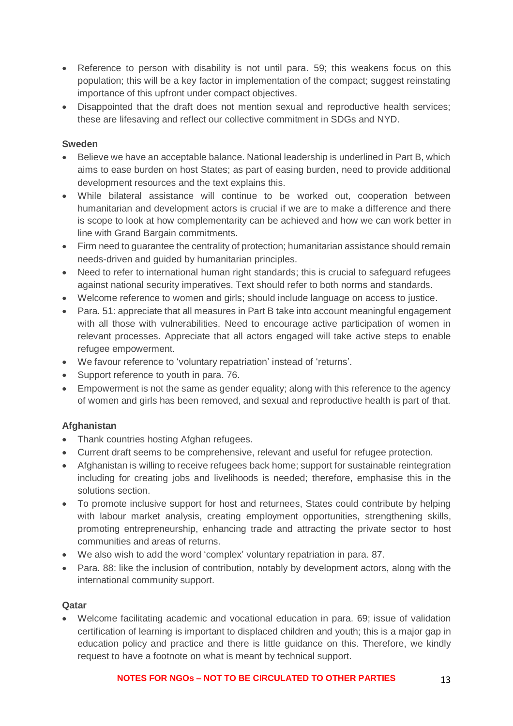- Reference to person with disability is not until para. 59; this weakens focus on this population; this will be a key factor in implementation of the compact; suggest reinstating importance of this upfront under compact objectives.
- Disappointed that the draft does not mention sexual and reproductive health services; these are lifesaving and reflect our collective commitment in SDGs and NYD.

### **Sweden**

- Believe we have an acceptable balance. National leadership is underlined in Part B, which aims to ease burden on host States; as part of easing burden, need to provide additional development resources and the text explains this.
- While bilateral assistance will continue to be worked out, cooperation between humanitarian and development actors is crucial if we are to make a difference and there is scope to look at how complementarity can be achieved and how we can work better in line with Grand Bargain commitments.
- Firm need to quarantee the centrality of protection; humanitarian assistance should remain needs-driven and guided by humanitarian principles.
- Need to refer to international human right standards; this is crucial to safeguard refugees against national security imperatives. Text should refer to both norms and standards.
- Welcome reference to women and girls; should include language on access to justice.
- Para, 51: appreciate that all measures in Part B take into account meaningful engagement with all those with vulnerabilities. Need to encourage active participation of women in relevant processes. Appreciate that all actors engaged will take active steps to enable refugee empowerment.
- We favour reference to 'voluntary repatriation' instead of 'returns'.
- Support reference to youth in para, 76.
- Empowerment is not the same as gender equality; along with this reference to the agency of women and girls has been removed, and sexual and reproductive health is part of that.

#### **Afghanistan**

- Thank countries hosting Afghan refugees.
- Current draft seems to be comprehensive, relevant and useful for refugee protection.
- Afghanistan is willing to receive refugees back home; support for sustainable reintegration including for creating jobs and livelihoods is needed; therefore, emphasise this in the solutions section.
- To promote inclusive support for host and returnees, States could contribute by helping with labour market analysis, creating employment opportunities, strengthening skills, promoting entrepreneurship, enhancing trade and attracting the private sector to host communities and areas of returns.
- We also wish to add the word 'complex' voluntary repatriation in para. 87.
- Para. 88: like the inclusion of contribution, notably by development actors, along with the international community support.

#### **Qatar**

• Welcome facilitating academic and vocational education in para. 69; issue of validation certification of learning is important to displaced children and youth; this is a major gap in education policy and practice and there is little guidance on this. Therefore, we kindly request to have a footnote on what is meant by technical support.

#### **NOTES FOR NGOS – NOT TO BE CIRCULATED TO OTHER PARTIES** 13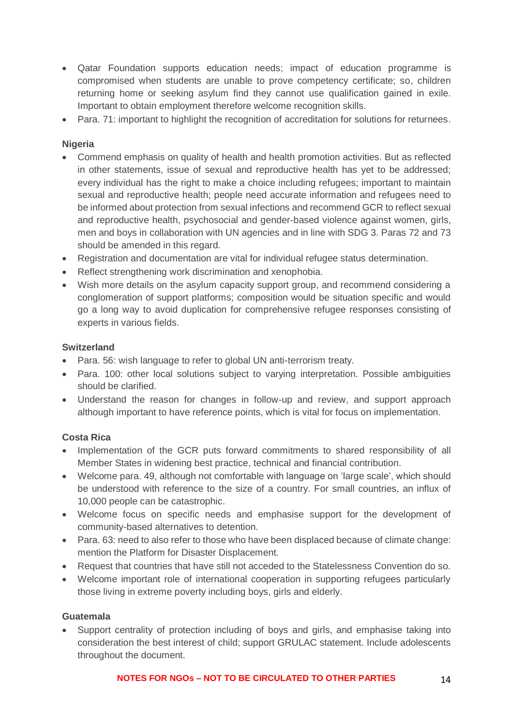- Qatar Foundation supports education needs; impact of education programme is compromised when students are unable to prove competency certificate; so, children returning home or seeking asylum find they cannot use qualification gained in exile. Important to obtain employment therefore welcome recognition skills.
- Para. 71: important to highlight the recognition of accreditation for solutions for returnees.

#### **Nigeria**

- Commend emphasis on quality of health and health promotion activities. But as reflected in other statements, issue of sexual and reproductive health has yet to be addressed; every individual has the right to make a choice including refugees; important to maintain sexual and reproductive health; people need accurate information and refugees need to be informed about protection from sexual infections and recommend GCR to reflect sexual and reproductive health, psychosocial and gender-based violence against women, girls, men and boys in collaboration with UN agencies and in line with SDG 3. Paras 72 and 73 should be amended in this regard.
- Registration and documentation are vital for individual refugee status determination.
- Reflect strengthening work discrimination and xenophobia.
- Wish more details on the asylum capacity support group, and recommend considering a conglomeration of support platforms; composition would be situation specific and would go a long way to avoid duplication for comprehensive refugee responses consisting of experts in various fields.

#### **Switzerland**

- Para. 56: wish language to refer to global UN anti-terrorism treaty.
- Para, 100: other local solutions subiect to varving interpretation. Possible ambiguities should be clarified.
- Understand the reason for changes in follow-up and review, and support approach although important to have reference points, which is vital for focus on implementation.

#### **Costa Rica**

- Implementation of the GCR puts forward commitments to shared responsibility of all Member States in widening best practice, technical and financial contribution.
- Welcome para. 49, although not comfortable with language on 'large scale', which should be understood with reference to the size of a country. For small countries, an influx of 10,000 people can be catastrophic.
- Welcome focus on specific needs and emphasise support for the development of community-based alternatives to detention.
- Para. 63: need to also refer to those who have been displaced because of climate change: mention the Platform for Disaster Displacement.
- Request that countries that have still not acceded to the Statelessness Convention do so.
- Welcome important role of international cooperation in supporting refugees particularly those living in extreme poverty including boys, girls and elderly.

#### **Guatemala**

Support centrality of protection including of boys and girls, and emphasise taking into consideration the best interest of child; support GRULAC statement. Include adolescents throughout the document.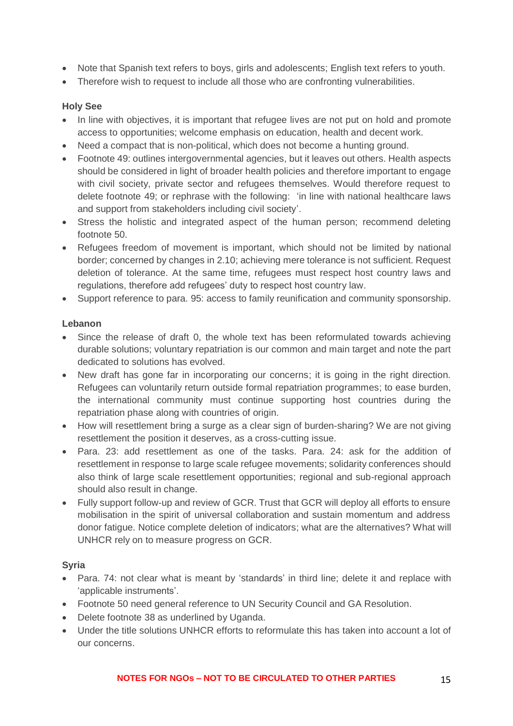- Note that Spanish text refers to boys, girls and adolescents; English text refers to youth.
- Therefore wish to request to include all those who are confronting vulnerabilities.

### **Holy See**

- In line with objectives, it is important that refugee lives are not put on hold and promote access to opportunities; welcome emphasis on education, health and decent work.
- Need a compact that is non-political, which does not become a hunting ground.
- Footnote 49: outlines intergovernmental agencies, but it leaves out others. Health aspects should be considered in light of broader health policies and therefore important to engage with civil society, private sector and refugees themselves. Would therefore request to delete footnote 49; or rephrase with the following: 'in line with national healthcare laws and support from stakeholders including civil society'.
- Stress the holistic and integrated aspect of the human person; recommend deleting footnote 50.
- Refugees freedom of movement is important, which should not be limited by national border; concerned by changes in 2.10; achieving mere tolerance is not sufficient. Request deletion of tolerance. At the same time, refugees must respect host country laws and regulations, therefore add refugees' duty to respect host country law.
- Support reference to para. 95: access to family reunification and community sponsorship.

### **Lebanon**

- Since the release of draft 0, the whole text has been reformulated towards achieving durable solutions; voluntary repatriation is our common and main target and note the part dedicated to solutions has evolved.
- New draft has gone far in incorporating our concerns; it is going in the right direction. Refugees can voluntarily return outside formal repatriation programmes; to ease burden, the international community must continue supporting host countries during the repatriation phase along with countries of origin.
- How will resettlement bring a surge as a clear sign of burden-sharing? We are not giving resettlement the position it deserves, as a cross-cutting issue.
- Para. 23: add resettlement as one of the tasks. Para. 24: ask for the addition of resettlement in response to large scale refugee movements; solidarity conferences should also think of large scale resettlement opportunities; regional and sub-regional approach should also result in change.
- Fully support follow-up and review of GCR. Trust that GCR will deploy all efforts to ensure mobilisation in the spirit of universal collaboration and sustain momentum and address donor fatigue. Notice complete deletion of indicators; what are the alternatives? What will UNHCR rely on to measure progress on GCR.

# **Syria**

- Para. 74: not clear what is meant by 'standards' in third line; delete it and replace with 'applicable instruments'.
- Footnote 50 need general reference to UN Security Council and GA Resolution.
- Delete footnote 38 as underlined by Uganda.
- Under the title solutions UNHCR efforts to reformulate this has taken into account a lot of our concerns.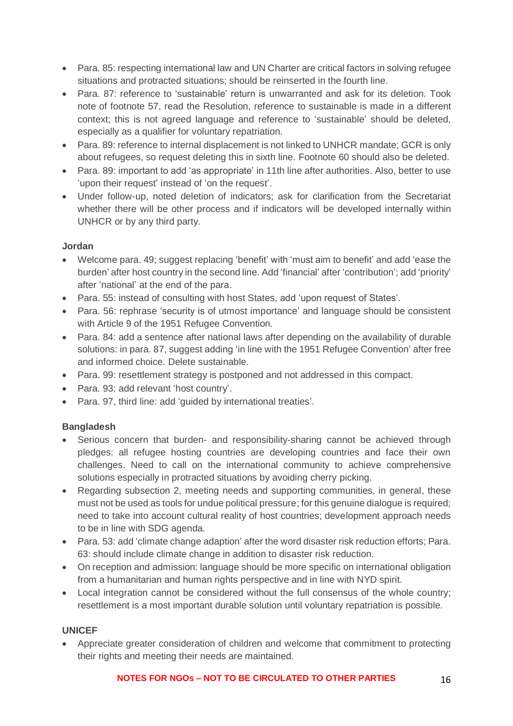- Para. 85: respecting international law and UN Charter are critical factors in solving refugee situations and protracted situations; should be reinserted in the fourth line.
- Para. 87: reference to 'sustainable' return is unwarranted and ask for its deletion. Took note of footnote 57, read the Resolution, reference to sustainable is made in a different context; this is not agreed language and reference to 'sustainable' should be deleted, especially as a qualifier for voluntary repatriation.
- Para. 89: reference to internal displacement is not linked to UNHCR mandate; GCR is only about refugees, so request deleting this in sixth line. Footnote 60 should also be deleted.
- Para, 89: important to add 'as appropriate' in 11th line after authorities. Also, better to use 'upon their request' instead of 'on the request'.
- Under follow-up, noted deletion of indicators; ask for clarification from the Secretariat whether there will be other process and if indicators will be developed internally within UNHCR or by any third party.

# **Jordan**

- Welcome para. 49; suggest replacing 'benefit' with 'must aim to benefit' and add 'ease the burden' after host country in the second line. Add 'financial' after 'contribution'; add 'priority' after 'national' at the end of the para.
- Para. 55: instead of consulting with host States, add 'upon request of States'.
- Para. 56: rephrase 'security is of utmost importance' and language should be consistent with Article 9 of the 1951 Refugee Convention.
- Para, 84: add a sentence after national laws after depending on the availability of durable solutions: in para. 87, suggest adding 'in line with the 1951 Refugee Convention' after free and informed choice. Delete sustainable.
- Para. 99: resettlement strategy is postponed and not addressed in this compact.
- Para. 93: add relevant 'host country'.
- Para. 97, third line: add 'guided by international treaties'.

# **Bangladesh**

- Serious concern that burden- and responsibility-sharing cannot be achieved through pledges: all refugee hosting countries are developing countries and face their own challenges. Need to call on the international community to achieve comprehensive solutions especially in protracted situations by avoiding cherry picking.
- Regarding subsection 2, meeting needs and supporting communities, in general, these must not be used as tools for undue political pressure; for this genuine dialogue is required; need to take into account cultural reality of host countries; development approach needs to be in line with SDG agenda.
- Para. 53: add 'climate change adaption' after the word disaster risk reduction efforts; Para. 63: should include climate change in addition to disaster risk reduction.
- On reception and admission: language should be more specific on international obligation from a humanitarian and human rights perspective and in line with NYD spirit.
- Local integration cannot be considered without the full consensus of the whole country; resettlement is a most important durable solution until voluntary repatriation is possible.

# **UNICEF**

• Appreciate greater consideration of children and welcome that commitment to protecting their rights and meeting their needs are maintained.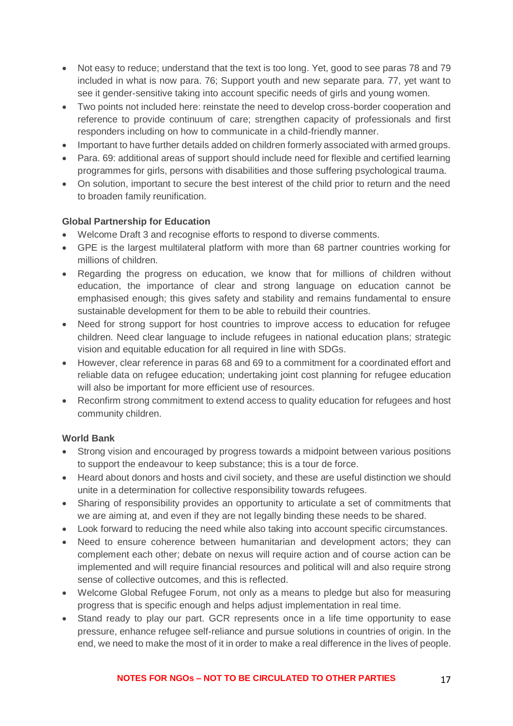- Not easy to reduce; understand that the text is too long. Yet, good to see paras 78 and 79 included in what is now para. 76; Support youth and new separate para. 77, yet want to see it gender-sensitive taking into account specific needs of girls and young women.
- Two points not included here: reinstate the need to develop cross-border cooperation and reference to provide continuum of care; strengthen capacity of professionals and first responders including on how to communicate in a child-friendly manner.
- Important to have further details added on children formerly associated with armed groups.
- Para, 69: additional areas of support should include need for flexible and certified learning programmes for girls, persons with disabilities and those suffering psychological trauma.
- On solution, important to secure the best interest of the child prior to return and the need to broaden family reunification.

# **Global Partnership for Education**

- Welcome Draft 3 and recognise efforts to respond to diverse comments.
- GPE is the largest multilateral platform with more than 68 partner countries working for millions of children.
- Regarding the progress on education, we know that for millions of children without education, the importance of clear and strong language on education cannot be emphasised enough; this gives safety and stability and remains fundamental to ensure sustainable development for them to be able to rebuild their countries.
- Need for strong support for host countries to improve access to education for refugee children. Need clear language to include refugees in national education plans; strategic vision and equitable education for all required in line with SDGs.
- However, clear reference in paras 68 and 69 to a commitment for a coordinated effort and reliable data on refugee education; undertaking joint cost planning for refugee education will also be important for more efficient use of resources.
- Reconfirm strong commitment to extend access to quality education for refugees and host community children.

#### **World Bank**

- Strong vision and encouraged by progress towards a midpoint between various positions to support the endeavour to keep substance; this is a tour de force.
- Heard about donors and hosts and civil society, and these are useful distinction we should unite in a determination for collective responsibility towards refugees.
- Sharing of responsibility provides an opportunity to articulate a set of commitments that we are aiming at, and even if they are not legally binding these needs to be shared.
- Look forward to reducing the need while also taking into account specific circumstances.
- Need to ensure coherence between humanitarian and development actors: they can complement each other; debate on nexus will require action and of course action can be implemented and will require financial resources and political will and also require strong sense of collective outcomes, and this is reflected.
- Welcome Global Refugee Forum, not only as a means to pledge but also for measuring progress that is specific enough and helps adjust implementation in real time.
- Stand ready to play our part. GCR represents once in a life time opportunity to ease pressure, enhance refugee self-reliance and pursue solutions in countries of origin. In the end, we need to make the most of it in order to make a real difference in the lives of people.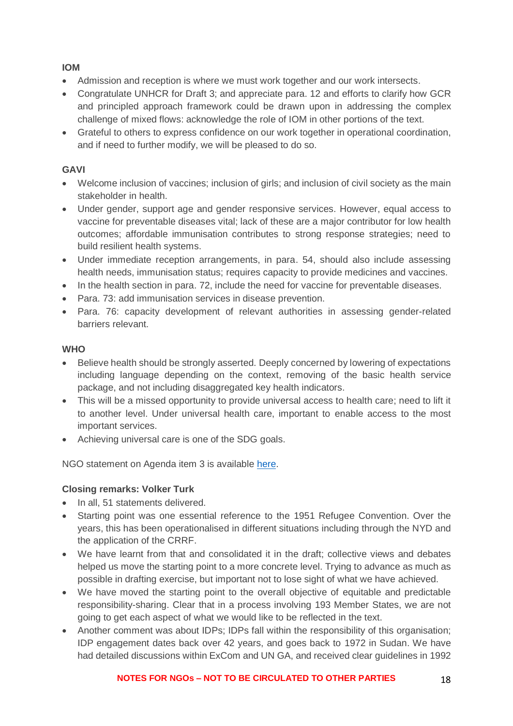# **IOM**

- Admission and reception is where we must work together and our work intersects.
- Congratulate UNHCR for Draft 3; and appreciate para. 12 and efforts to clarify how GCR and principled approach framework could be drawn upon in addressing the complex challenge of mixed flows: acknowledge the role of IOM in other portions of the text.
- Grateful to others to express confidence on our work together in operational coordination, and if need to further modify, we will be pleased to do so.

# **GAVI**

- Welcome inclusion of vaccines; inclusion of girls; and inclusion of civil society as the main stakeholder in health.
- Under gender, support age and gender responsive services. However, equal access to vaccine for preventable diseases vital; lack of these are a major contributor for low health outcomes; affordable immunisation contributes to strong response strategies; need to build resilient health systems.
- Under immediate reception arrangements, in para. 54, should also include assessing health needs, immunisation status; requires capacity to provide medicines and vaccines.
- In the health section in para. 72, include the need for vaccine for preventable diseases.
- Para. 73: add immunisation services in disease prevention.
- Para. 76: capacity development of relevant authorities in assessing gender-related barriers relevant.

### **WHO**

- Believe health should be strongly asserted. Deeply concerned by lowering of expectations including language depending on the context, removing of the basic health service package, and not including disaggregated key health indicators.
- This will be a missed opportunity to provide universal access to health care; need to lift it to another level. Under universal health care, important to enable access to the most important services.
- Achieving universal care is one of the SDG goals.

NGO statement on Agenda item 3 is available [here.](https://www.icvanetwork.org/system/files/versions/Agenda%20Item%203_Fifth%20Formal%20Consultations_ORAL_FINAL_June2018.pdf)

# **Closing remarks: Volker Turk**

- In all, 51 statements delivered.
- Starting point was one essential reference to the 1951 Refugee Convention. Over the years, this has been operationalised in different situations including through the NYD and the application of the CRRF.
- We have learnt from that and consolidated it in the draft: collective views and debates helped us move the starting point to a more concrete level. Trying to advance as much as possible in drafting exercise, but important not to lose sight of what we have achieved.
- We have moved the starting point to the overall objective of equitable and predictable responsibility-sharing. Clear that in a process involving 193 Member States, we are not going to get each aspect of what we would like to be reflected in the text.
- Another comment was about IDPs; IDPs fall within the responsibility of this organisation; IDP engagement dates back over 42 years, and goes back to 1972 in Sudan. We have had detailed discussions within ExCom and UN GA, and received clear guidelines in 1992